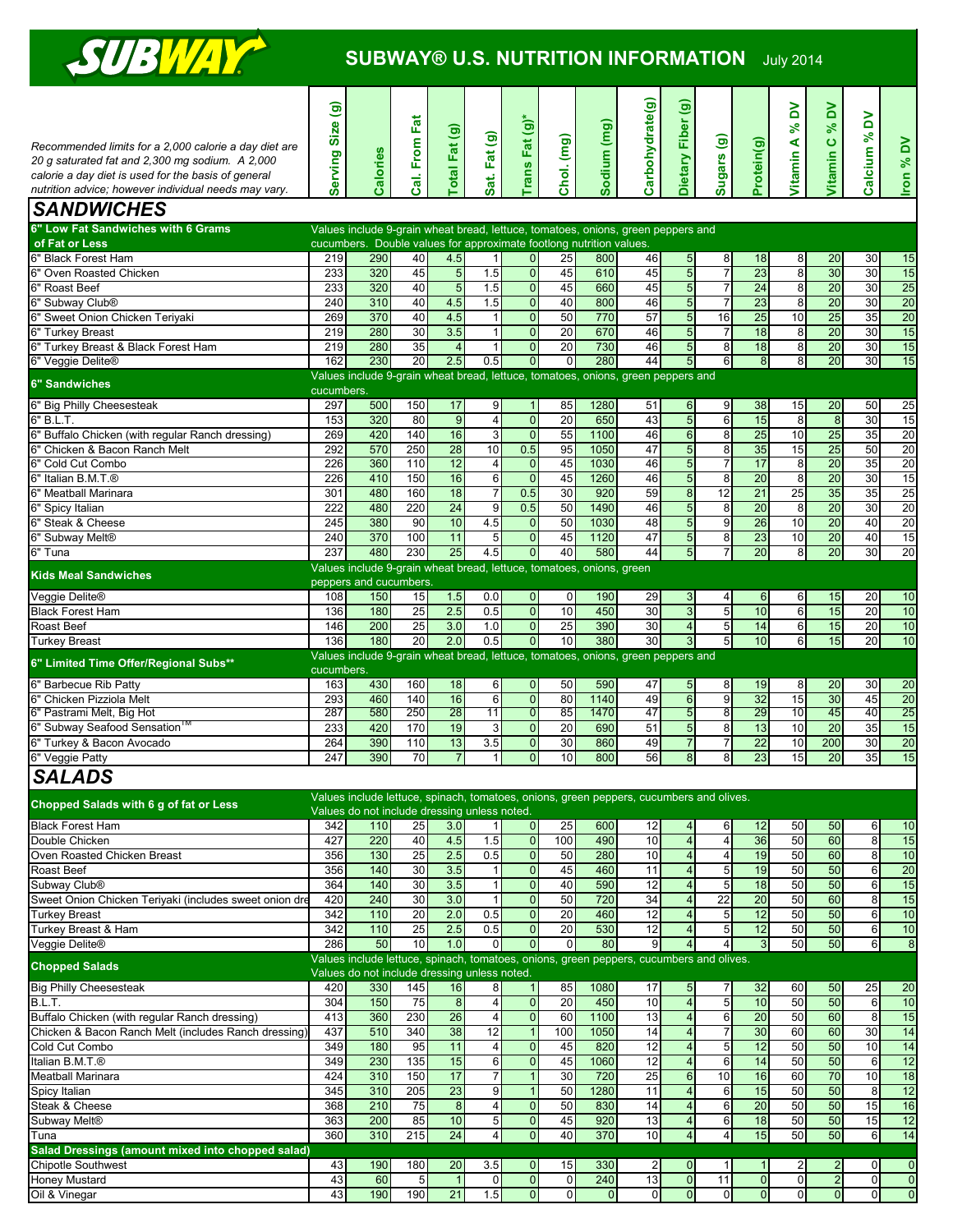

## **SUBWAY® U.S. NUTRITION INFORMATION** July 2014

|                                                        | Serving Size (g) |                                                                                         |                           |                 |                     |                                  |                                   |              | Carbohydrate(g) | Dietary Fiber (g)                         |                                   |                       | λÓ                         | δ                     |                     |                 |
|--------------------------------------------------------|------------------|-----------------------------------------------------------------------------------------|---------------------------|-----------------|---------------------|----------------------------------|-----------------------------------|--------------|-----------------|-------------------------------------------|-----------------------------------|-----------------------|----------------------------|-----------------------|---------------------|-----------------|
|                                                        |                  |                                                                                         | From Fat                  |                 |                     | Trans Fat (g)*                   |                                   | Sodium (mg)  |                 |                                           |                                   |                       | $\mathcal{S}^{\mathbf{c}}$ | ×                     | $\mathsf{S}$        |                 |
| Recommended limits for a 2,000 calorie a day diet are  |                  |                                                                                         |                           | otal Fat (g)    | Fat (g)             |                                  | Chol. (mg)                        |              |                 |                                           | Sugars (g)                        |                       |                            | <b>Vitamin C</b>      | $\aleph$            |                 |
| 20 g saturated fat and 2,300 mg sodium. A 2,000        |                  |                                                                                         |                           |                 |                     |                                  |                                   |              |                 |                                           |                                   |                       |                            |                       |                     |                 |
| calorie a day diet is used for the basis of general    |                  |                                                                                         |                           |                 |                     |                                  |                                   |              |                 |                                           |                                   |                       |                            |                       |                     |                 |
| nutrition advice; however individual needs may vary.   |                  | Calories                                                                                | $\overline{\overline{a}}$ |                 | Sat.                |                                  |                                   |              |                 |                                           |                                   | Protein(g)            | Vitamin A                  |                       | Calcium             | Iron % DV       |
|                                                        |                  |                                                                                         |                           |                 |                     |                                  |                                   |              |                 |                                           |                                   |                       |                            |                       |                     |                 |
| <b>SANDWICHES</b>                                      |                  |                                                                                         |                           |                 |                     |                                  |                                   |              |                 |                                           |                                   |                       |                            |                       |                     |                 |
| 6" Low Fat Sandwiches with 6 Grams                     |                  | Values include 9-grain wheat bread, lettuce, tomatoes, onions, green peppers and        |                           |                 |                     |                                  |                                   |              |                 |                                           |                                   |                       |                            |                       |                     |                 |
| of Fat or Less                                         |                  | cucumbers. Double values for approximate footlong nutrition values.                     |                           |                 |                     |                                  |                                   |              |                 |                                           |                                   |                       |                            |                       |                     |                 |
| 6" Black Forest Ham                                    | 219              | 290                                                                                     | 40                        | 4.5             | 11                  | $\overline{0}$                   | 25                                | 800          | 46              | 5                                         | 8                                 | 18                    | 8                          | 20                    | 30                  | 15              |
| 6" Oven Roasted Chicken                                | 233              | 320                                                                                     | 45                        | $5\overline{5}$ | 1.5                 | $\overline{0}$                   | 45                                | 610          | 45              | $\overline{5}$                            | $\overline{7}$                    | 23                    | 8                          | 30                    | 30                  | 15              |
| 6" Roast Beef                                          | 233              | 320                                                                                     | 40                        | 5               | 1.5                 | $\mathbf 0$                      | 45                                | 660          | 45              | $\sqrt{5}$                                | $\overline{7}$                    | $\overline{24}$       | 8                          | 20                    | 30                  | 25              |
| 6" Subway Club®                                        | 240              | 310                                                                                     | 40                        | 4.5             | 1.5                 | $\pmb{0}$                        | 40                                | 800          | 46              | $\overline{5}$                            | $\overline{7}$                    | 23                    | 8                          | 20                    | 30                  | 20              |
| 6" Sweet Onion Chicken Teriyaki                        | 269              | 370                                                                                     | 40                        | 4.5             | 1                   | $\overline{0}$                   | 50                                | 770          | 57              | $\overline{5}$                            | 16                                | $\overline{25}$       | 10                         | 25                    | 35                  | 20              |
| 6" Turkey Breast                                       | 219              | 280                                                                                     | 30                        | 3.5             | 11                  | $\mathbf 0$                      | 20                                | 670          | 46              | $\overline{5}$                            | $\overline{7}$                    | 18                    | 8                          | $\overline{20}$       | 30                  | 15              |
| 6" Turkey Breast & Black Forest Ham                    | 219              | 280                                                                                     | 35                        | $\overline{4}$  | 11                  | $\overline{0}$                   | 20                                | 730          | 46              | $\overline{5}$                            | 8                                 | 18                    | 8                          | 20                    | 30                  | 15              |
| 6" Veggie Delite®                                      | 162              | 230                                                                                     | 20                        | 2.5             | 0.5                 | $\overline{0}$                   | $\overline{0}$                    | 280          | 44              | 5                                         | 6                                 | 8                     | 8                          | 20                    | 30                  | 15              |
| <b>6" Sandwiches</b>                                   |                  | Values include 9-grain wheat bread, lettuce, tomatoes, onions, green peppers and        |                           |                 |                     |                                  |                                   |              |                 |                                           |                                   |                       |                            |                       |                     |                 |
|                                                        | cucumbers.       |                                                                                         |                           |                 |                     |                                  |                                   |              |                 |                                           |                                   |                       |                            |                       |                     |                 |
| 6" Big Philly Cheesesteak                              | 297              | 500                                                                                     | 150                       | 17              | 9                   | $\mathbf{1}$                     | 85                                | 1280         | 51              | 6                                         | 9                                 | 38                    | 15                         | 20                    | 50                  | 25              |
| 6" B.L.T.                                              | 153              | 320                                                                                     | 80                        | $\overline{9}$  | $\overline{4}$      | $\overline{0}$                   | 20                                | 650          | 43              | $\overline{5}$                            | 6                                 | 15                    | 8                          | $\overline{8}$        | 30                  | 15              |
| 6" Buffalo Chicken (with regular Ranch dressing)       | 269              | 420                                                                                     | 140                       | 16              | 3                   | $\overline{0}$                   | 55                                | 1100         | 46              | $6\phantom{a}$                            | 8                                 | 25                    | 10                         | 25                    | 35                  | 20              |
| 6" Chicken & Bacon Ranch Melt                          | 292              | 570                                                                                     | 250                       | 28              | 10                  | 0.5                              | 95                                | 1050         | 47              | $\overline{5}$                            | 8                                 | 35                    | 15                         | 25                    | 50                  | 20              |
| 6" Cold Cut Combo                                      | 226              | 360                                                                                     | 110                       | 12              | $\overline{4}$      | $\overline{0}$                   | 45                                | 1030         | 46              | $\overline{5}$                            | $\overline{7}$                    | 17                    | 8                          | $\overline{20}$       | 35                  | $\overline{20}$ |
| 6" Italian B.M.T.®                                     | 226              | 410                                                                                     | 150                       | 16              | 6                   | $\overline{0}$                   | 45<br>30                          | 1260         | 46              | $\overline{5}$                            | $\overline{8}$                    | $\overline{20}$       | 8                          | $\overline{20}$       | 30<br>35            | 15              |
| 6" Meatball Marinara                                   | 301<br>222       | 480                                                                                     | 160                       | 18<br>24        | $\overline{7}$      | 0.5                              |                                   | 920          | 59              | $\bf 8$                                   | 12                                | 21                    | 25                         | 35                    | 30                  | 25              |
| 6" Spicy Italian<br>6" Steak & Cheese                  | 245              | 480<br>380                                                                              | 220<br>90                 | 10              | 9<br>4.5            | 0.5                              | 50<br>50                          | 1490         | 46<br>48        | $\overline{5}$                            | 8                                 | 20<br>$\overline{26}$ | 8<br>10                    | 20<br>$\overline{20}$ | 40                  | 20<br>20        |
|                                                        | 240              | 370                                                                                     | 100                       | 11              | 5                   | $\overline{0}$<br>$\overline{0}$ | 45                                | 1030<br>1120 | 47              | $\overline{5}$<br>$\overline{5}$          | 9                                 | 23                    | 10                         | 20                    | 40                  | 15              |
| 6" Subway Melt®<br>6" Tuna                             | 237              | 480                                                                                     | 230                       | 25              | 4.5                 | $\overline{0}$                   | 40                                | 580          | 44              | $\overline{5}$                            | 8<br>$\overline{7}$               | $\overline{20}$       | 8                          | 20                    | $\overline{30}$     | 20              |
|                                                        |                  | Values include 9-grain wheat bread, lettuce, tomatoes, onions, green                    |                           |                 |                     |                                  |                                   |              |                 |                                           |                                   |                       |                            |                       |                     |                 |
| <b>Kids Meal Sandwiches</b>                            |                  | peppers and cucumbers                                                                   |                           |                 |                     |                                  |                                   |              |                 |                                           |                                   |                       |                            |                       |                     |                 |
| Veggie Delite®                                         | 108              | 150                                                                                     | 15                        | 1.5             | 0.0                 | $\mathbf 0$                      | 0                                 | 190          | 29              | 3                                         | 4                                 | $6 \,$                | 6                          | 15                    | 20                  | 10              |
| <b>Black Forest Ham</b>                                | 136              | 180                                                                                     | 25                        | 2.5             | 0.5                 | $\overline{0}$                   | 10                                | 450          | 30              | $\mathbf{3}$                              | 5                                 | 10                    | 6                          | 15                    | 20                  | 10              |
| Roast Beef                                             | 146              | 200                                                                                     | 25                        | 3.0             | 1.0                 | $\overline{0}$                   | 25                                | 390          | 30              | $\overline{\mathbf{4}}$                   | 5                                 | 14                    | 6                          | 15                    | 20                  | 10              |
| <b>Turkey Breast</b>                                   | 136              | 180                                                                                     | 20                        | 2.0             | 0.5                 | $\mathbf 0$                      | 10                                | 380          | 30              | 3                                         | 5 <sub>l</sub>                    | 10                    | 6                          | 15                    | 20                  | 10              |
|                                                        |                  | Values include 9-grain wheat bread, lettuce, tomatoes, onions, green peppers and        |                           |                 |                     |                                  |                                   |              |                 |                                           |                                   |                       |                            |                       |                     |                 |
| 6" Limited Time Offer/Regional Subs**                  | cucumbers.       |                                                                                         |                           |                 |                     |                                  |                                   |              |                 |                                           |                                   |                       |                            |                       |                     |                 |
| 6" Barbecue Rib Patty                                  | 163              | 430                                                                                     | 160                       | 18              | 6                   | $\mathbf{0}$                     | 50                                | 590          | 47              | 5                                         | 8                                 | 19                    | 8                          | 20                    | 30                  | 20              |
| 6" Chicken Pizziola Melt                               | 293              | 460                                                                                     | 140                       | 16              | $6 \,$              | $\overline{0}$                   | 80                                | 1140         | 49              | $6\phantom{a}$                            | 9                                 | 32                    | 15                         | 30                    | 45                  | 20              |
| 6" Pastrami Melt, Big Hot                              | 287              | 580                                                                                     | 250                       | 28              | 11                  | O                                | 85                                | 1470         | 47              | 5                                         | $\overline{8}$                    | 29                    | 10                         | 45                    | 40                  | 25              |
| 6" Subway Seafood Sensation <sup>11</sup>              | 233              | 420                                                                                     | 170                       | 19              | 3                   | $\mathbf 0$                      | 20                                | 690          | 51              | $\overline{5}$                            | 8                                 | 13                    | 10                         | 20                    | 35                  | 15              |
| 6" Turkey & Bacon Avocado                              | 264              | 390                                                                                     | 110                       | 13              | 3.5                 | $\pmb{0}$                        | 30                                | 860          | 49              | $\overline{7}$                            | $\overline{7}$                    | $\overline{22}$       | 10                         | 200                   | 30                  | $\overline{20}$ |
| 6" Veggie Patty                                        | 247              | 390                                                                                     | 70                        | $\overline{7}$  | 11                  | $\overline{0}$                   | 10                                | 800          | 56              | $\overline{8}$                            | 8                                 | 23                    | 15                         | 20                    | 35                  | 15              |
| <b>SALADS</b>                                          |                  |                                                                                         |                           |                 |                     |                                  |                                   |              |                 |                                           |                                   |                       |                            |                       |                     |                 |
|                                                        |                  |                                                                                         |                           |                 |                     |                                  |                                   |              |                 |                                           |                                   |                       |                            |                       |                     |                 |
| Chopped Salads with 6 g of fat or Less                 |                  | Values include lettuce, spinach, tomatoes, onions, green peppers, cucumbers and olives. |                           |                 |                     |                                  |                                   |              |                 |                                           |                                   |                       |                            |                       |                     |                 |
|                                                        |                  | Values do not include dressing unless noted.                                            |                           |                 |                     |                                  |                                   |              |                 |                                           |                                   |                       |                            |                       |                     |                 |
| <b>Black Forest Ham</b>                                | 342              | 110                                                                                     | 25                        | 3.0             | 11                  | $\overline{0}$                   | 25                                | 600          | 12              | 4                                         | 6                                 | 12                    | 50                         | 50                    | 6                   | 10              |
| Double Chicken                                         | 427              | 220                                                                                     | 40                        | 4.5             | 1.5                 | $\overline{0}$                   | 100                               | 490          | 10              | $\overline{\mathbf{r}}$                   | $\overline{4}$                    | 36                    | 50                         | 60                    | 8                   | 15              |
| Oven Roasted Chicken Breast                            | 356              | 130                                                                                     | 25                        | 2.5             | 0.5                 | $\mathbf{O}$                     | 50                                | 280          | 10              | $\overline{4}$                            | 4                                 | 19                    | 50                         | 60                    | $\boldsymbol{8}$    | 10              |
| Roast Beef                                             | 356              | 140                                                                                     | 30                        | 3.5             | 1                   | $\overline{0}$                   | 45                                | 460          | 11              | $\overline{4}$                            | 5                                 | 19                    | 50                         | 50                    | 6                   | 20              |
| Subway Club <sup>®</sup>                               | 364              | $\frac{140}{2}$<br>240                                                                  | 30<br>30                  | 3.5<br>3.0      | 1 <sup>1</sup>      | $\pmb{0}$                        | 40<br>50                          | 590          | $\overline{12}$ | $\overline{\mathbf{4}}$                   | $\sqrt{5}$                        | $\overline{18}$       | 50<br>50                   | 50<br>60              | 6                   | 15              |
| Sweet Onion Chicken Teriyaki (includes sweet onion dre | 420              |                                                                                         |                           |                 | 11                  | $\overline{0}$                   |                                   | 720          | 34              | $\overline{\mathbf{4}}$                   | 22                                | 20                    |                            |                       | 8                   | 15              |
| <b>Turkey Breast</b>                                   | 342<br>342       | 110                                                                                     | 20                        | 2.0             | 0.5                 | $\pmb{0}$                        | 20                                | 460          | 12              | $\overline{4}$                            | 5                                 | 12                    | 50                         | 50                    | 6                   | 10              |
| Turkey Breast & Ham                                    | 286              | $\frac{110}{110}$<br>50                                                                 | 25<br>10                  | 2.5<br>1.0      | 0.5<br>$\mathsf{o}$ | $\mathbf 0$<br>$\mathbf 0$       | $\overline{20}$<br>$\overline{0}$ | 530<br>80    | 12<br>9         | $\overline{4}$<br>$\overline{\mathbf{r}}$ | $5\phantom{.0}$<br>$\overline{4}$ | 12<br>3 <sup>1</sup>  | 50<br>50                   | 50<br>50              | $6\phantom{a}$<br>6 | 10<br>$\infty$  |
| Veggie Delite®                                         |                  | Values include lettuce, spinach, tomatoes, onions, green peppers, cucumbers and olives. |                           |                 |                     |                                  |                                   |              |                 |                                           |                                   |                       |                            |                       |                     |                 |
| <b>Chopped Salads</b>                                  |                  | Values do not include dressing unless noted.                                            |                           |                 |                     |                                  |                                   |              |                 |                                           |                                   |                       |                            |                       |                     |                 |
| <b>Big Philly Cheesesteak</b>                          | 420              | 330                                                                                     | 145                       | 16              | 8                   | $\mathbf{1}$                     | 85                                | 1080         | 17              | 5 <sub>5</sub>                            | 7                                 | 32                    | 60                         | 50                    | 25                  | 20              |
| B.L.T.                                                 | 304              | 150                                                                                     | 75                        | 8               | $\overline{4}$      | $\mathbf 0$                      | 20                                | 450          | 10              | $\overline{\mathbf{4}}$                   | $\overline{5}$                    | $\overline{10}$       | 50                         | 50                    | 6                   | $\overline{10}$ |
| Buffalo Chicken (with regular Ranch dressing)          | 413              | 360                                                                                     | 230                       | 26              | $\overline{4}$      | $\overline{\mathbf{0}}$          | 60                                | 1100         | 13              | $\overline{\mathbf{r}}$                   | 6                                 | 20                    | 50                         | 60                    | 8                   | 15              |
| Chicken & Bacon Ranch Melt (includes Ranch dressing)   | 437              | 510                                                                                     | 340                       | 38              | 12                  | $\mathbf{1}$                     | 100                               | 1050         | 14              | $\overline{\mathbf{4}}$                   | $\overline{7}$                    | 30                    | 60                         | 60                    | 30                  | 14              |
| Cold Cut Combo                                         | 349              | 180                                                                                     | 95                        | 11              | $\overline{4}$      | $\overline{0}$                   | 45                                | 820          | 12              | $\overline{\mathbf{4}}$                   | 5                                 | 12                    | 50                         | 50                    | 10                  | 14              |
| Italian B.M.T.®                                        | 349              | 230                                                                                     | 135                       | 15              | $6\overline{6}$     | $\overline{\mathbf{0}}$          | 45                                | 1060         | 12              | $\overline{\mathbf{4}}$                   | 6                                 | 14                    | 50                         | 50                    | 6                   | 12              |
| <b>Meatball Marinara</b>                               | 424              | 310                                                                                     | 150                       | 17              | $\overline{7}$      | $\mathbf{1}$                     | 30                                | 720          | 25              | $6\overline{6}$                           | $\overline{10}$                   | 16                    | 60                         | 70                    | 10                  | 18              |
| Spicy Italian                                          | 345              | 310                                                                                     | 205                       | 23              | 9                   | $\overline{1}$                   | 50                                | 1280         | 11              | $\overline{\mathbf{4}}$                   | 6                                 | 15                    | 50                         | 50                    | 8                   | 12              |
| Steak & Cheese                                         | 368              | 210                                                                                     | 75                        | 8 <sup>1</sup>  | $\overline{4}$      | $\overline{0}$                   | 50                                | 830          | 14              | $\overline{\mathbf{r}}$                   | 6                                 | 20                    | 50                         | 50                    | 15                  | 16              |
| Subway Melt <sup>®</sup>                               | 363              | 200                                                                                     | 85                        | 10              | 5 <sub>5</sub>      | $\overline{0}$                   | 45                                | 920          | 13              | $\overline{4}$                            | 6                                 | $\overline{18}$       | 50                         | 50                    | 15                  | 12              |
| Tuna                                                   | 360              | 310                                                                                     | 215                       | 24              | $\overline{4}$      | $\mathbf 0$                      | 40                                | 370          | 10              | $\overline{\mathbf{4}}$                   | $\overline{4}$                    | 15                    | 50                         | 50                    | $6 \mid$            | 14              |
| Salad Dressings (amount mixed into chopped salad)      |                  |                                                                                         |                           |                 |                     |                                  |                                   |              |                 |                                           |                                   |                       |                            |                       |                     |                 |
| <b>Chipotle Southwest</b>                              | 43               | 190                                                                                     | 180                       | 20              | 3.5                 | $\mathbf{0}$                     | 15                                | 330          | $\overline{2}$  | $\overline{0}$                            | $\mathbf{1}$                      | 1                     | $\overline{2}$             | $\overline{a}$        | $\mathbf{0}$        | $\mathbf{0}$    |
| Honey Mustard                                          | 43               | 60                                                                                      | 5                         | $\vert$ 1       | $\overline{0}$      | $\mathbf 0$                      | $\mathbf 0$                       | 240          | 13              | $\mathbf 0$                               | 11                                | $\overline{0}$        | $\mathbf 0$                | $\overline{a}$        | $\overline{0}$      | $\mathbf 0$     |
| Oil & Vinegar                                          | 43               | 190                                                                                     | 190                       | 21              | 1.5                 | $\mathbf{O}$                     | $\overline{0}$                    | $\pmb{0}$    | 0               | $\overline{0}$                            | $\overline{\mathbf{0}}$           | $\overline{0}$        | $\mathbf 0$                | $\overline{0}$        | $\overline{0}$      | $\mathbf 0$     |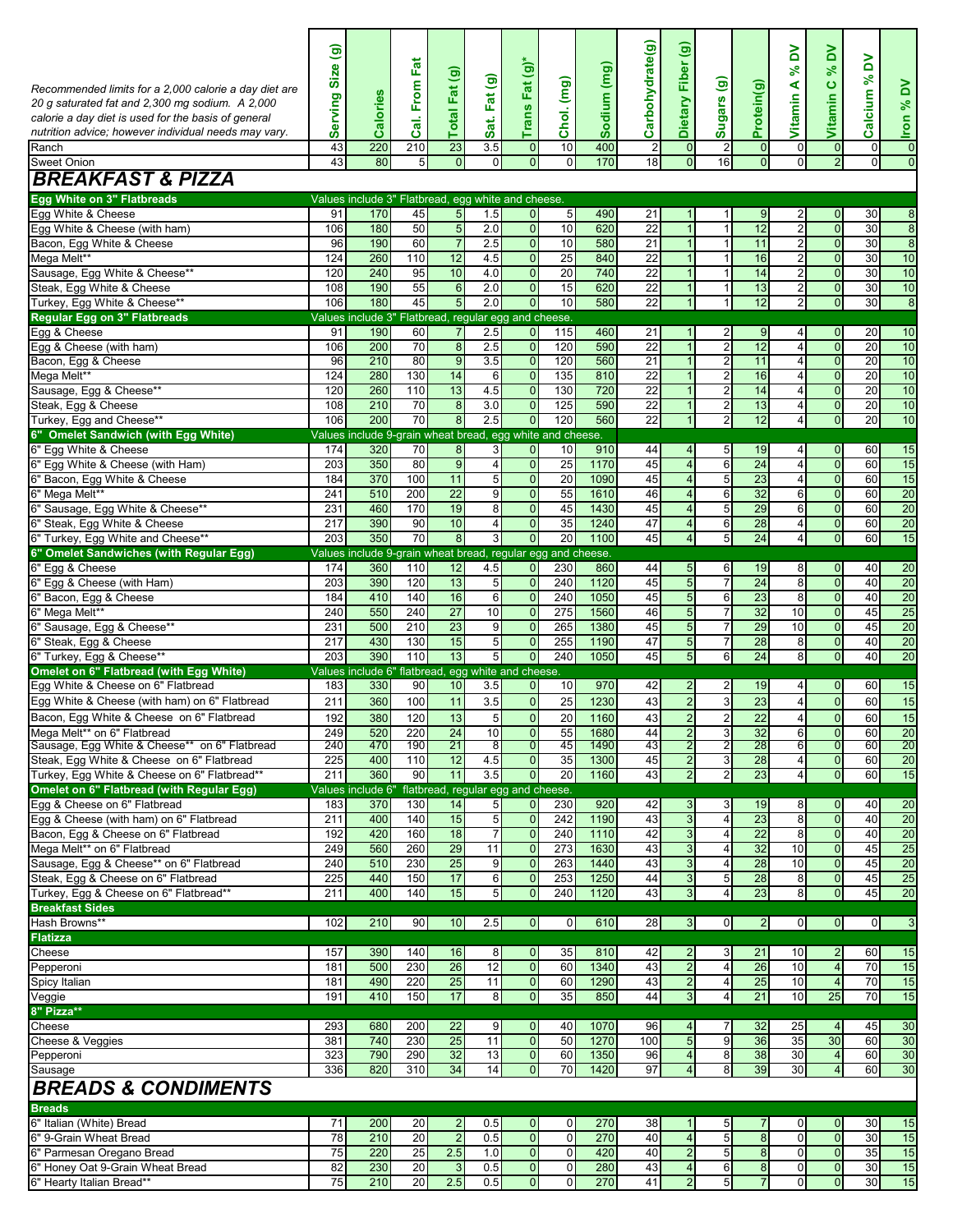|                                                                                |                  |                                                             |                       |                                  |                                    |                                  |                       |              |                       | $\widehat{\mathbf{e}}$           |                                   |                            |                                  |                                           |                               |                                  |
|--------------------------------------------------------------------------------|------------------|-------------------------------------------------------------|-----------------------|----------------------------------|------------------------------------|----------------------------------|-----------------------|--------------|-----------------------|----------------------------------|-----------------------------------|----------------------------|----------------------------------|-------------------------------------------|-------------------------------|----------------------------------|
|                                                                                | ම                |                                                             |                       |                                  |                                    |                                  |                       |              | Carbohydrate(g)       |                                  |                                   |                            | λd<br>$\mathcal{S}^{\mathbf{c}}$ | δ<br>ಸ್                                   | λď                            |                                  |
| Recommended limits for a 2,000 calorie a day diet are                          | Size             |                                                             | Cal. From Fat         | Total Fat (g)                    | Fat (g)                            | Trans Fat (g)*                   |                       | Sodium (mg)  |                       | Dietary Fiber                    |                                   |                            | ⋖                                |                                           | $\infty$                      |                                  |
| 20 g saturated fat and 2,300 mg sodium. A 2,000                                | Serving          | Calories                                                    |                       |                                  |                                    |                                  | Chol. (mg)            |              |                       |                                  | Sugars (g)                        | Protein(g)                 | Vitamin                          | Vitamin <sub>C</sub>                      | Calcium                       | <b>Iron % DV</b>                 |
| calorie a day diet is used for the basis of general                            |                  |                                                             |                       |                                  | Sat.                               |                                  |                       |              |                       |                                  |                                   |                            |                                  |                                           |                               |                                  |
| nutrition advice; however individual needs may vary.                           |                  |                                                             |                       |                                  |                                    |                                  |                       |              |                       |                                  |                                   |                            |                                  |                                           |                               |                                  |
| Ranch<br>Sweet Onion                                                           | 43<br>43         | 220<br>80                                                   | 210<br>5 <sup>1</sup> | 23<br>$\overline{0}$             | 3.5<br>$\Omega$                    | $\overline{0}$<br>$\overline{0}$ | 10<br>$\Omega$        | 400<br>170   | $\overline{2}$<br>18  | $\mathbf 0$<br>$\overline{0}$    | $\overline{2}$<br>16              | $\overline{0}$<br>$\Omega$ | $\mathbf 0$<br>$\overline{0}$    | $\overline{0}$<br>$\overline{2}$          | $\mathbf 0$<br>$\overline{0}$ | $\overline{0}$<br>$\overline{0}$ |
| <b>BREAKFAST &amp; PIZZA</b>                                                   |                  |                                                             |                       |                                  |                                    |                                  |                       |              |                       |                                  |                                   |                            |                                  |                                           |                               |                                  |
| Egg White on 3" Flatbreads                                                     |                  | Values include 3" Flatbread, egg white and cheese.          |                       |                                  |                                    |                                  |                       |              |                       |                                  |                                   |                            |                                  |                                           |                               |                                  |
| Egg White & Cheese                                                             | 91               | 170                                                         | 45                    | $\overline{5}$                   | 1.5                                | $\overline{0}$                   | 5                     | 490          | 21                    | 1                                | 1                                 | 9                          | $\overline{2}$                   | $\overline{0}$                            | 30                            | 8                                |
| Egg White & Cheese (with ham)                                                  | 106              | 180                                                         | 50                    | 5                                | 2.0                                | $\overline{0}$                   | 10                    | 620          | $\overline{22}$       | $\overline{1}$                   | $\mathbf{1}$                      | 12                         | $\overline{2}$                   | $\overline{0}$                            | $\overline{30}$               | $\bf 8$                          |
| Bacon, Egg White & Cheese                                                      | 96               | 190                                                         | 60                    | $\overline{7}$                   | 2.5                                | $\overline{0}$                   | 10                    | 580          | 21                    | $\mathbf{1}$                     | $\mathbf{1}$                      | 11                         | $\overline{2}$                   | $\overline{0}$                            | 30                            | $\overline{8}$                   |
| Mega Melt**<br>Sausage, Egg White & Cheese**                                   | 124<br>120       | 260<br>240                                                  | 110<br>95             | 12<br>10                         | 4.5<br>4.0                         | $\overline{0}$<br>$\overline{0}$ | $\overline{25}$<br>20 | 840<br>740   | $\overline{22}$<br>22 | $\overline{1}$<br>$\overline{1}$ | $\mathbf{1}$<br>$\mathbf{1}$      | 16<br>14                   | $\overline{2}$<br>$\overline{2}$ | $\mathbf 0$<br>$\overline{0}$             | 30<br>30                      | 10<br>10                         |
| Steak, Egg White & Cheese                                                      | 108              | 190                                                         | 55                    | $\boldsymbol{6}$                 | 2.0                                | $\overline{0}$                   | 15                    | 620          | 22                    | $\mathbf{1}$                     | 1                                 | 13                         | $\overline{2}$                   | $\overline{0}$                            | 30                            | 10                               |
| Turkey, Egg White & Cheese**                                                   | 106              | 180                                                         | 45                    | 5                                | 2.0                                | $\overline{0}$                   | 10                    | 580          | 22                    | $\mathbf{1}$                     | $\mathbf{1}$                      | 12                         | $\overline{2}$                   | $\overline{0}$                            | 30                            | $\overline{8}$                   |
| <b>Regular Egg on 3" Flatbreads</b>                                            |                  | Values include 3" Flatbread, regular egg and cheese.        |                       |                                  |                                    |                                  |                       |              |                       |                                  |                                   |                            |                                  |                                           |                               |                                  |
| Egg & Cheese<br>Egg & Cheese (with ham)                                        | 91<br>106        | 190<br>200                                                  | 60<br>70              | $\overline{7}$<br>8              | 2.5<br>2.5                         | $\overline{0}$<br>$\mathbf{0}$   | 115<br>120            | 460<br>590   | 21<br>$\overline{22}$ | $\mathbf{1}$<br>$\overline{1}$   | $\overline{2}$<br>$\overline{2}$  | 9<br>12                    | $\overline{4}$<br>$\overline{4}$ | $\overline{0}$<br>$\overline{0}$          | 20<br>20                      | 10<br>10                         |
| Bacon, Egg & Cheese                                                            | 96               | 210                                                         | 80                    | 9                                | 3.5                                | $\overline{0}$                   | 120                   | 560          | $\overline{21}$       | $\overline{1}$                   | $\overline{a}$                    | 11                         | 4                                | $\overline{0}$                            | $\overline{20}$               | 10                               |
| Mega Melt**                                                                    | 124              | 280                                                         | 130                   | 14                               | 6                                  | $\overline{0}$                   | 135                   | 810          | $\overline{22}$       | $\mathbf{1}$                     | $\overline{2}$                    | 16                         | $\overline{4}$                   | $\overline{0}$                            | 20                            | 10                               |
| Sausage, Egg & Cheese**                                                        | 120              | 260                                                         | 110                   | 13                               | 4.5                                | $\overline{0}$                   | 130                   | 720          | 22                    | $\mathbf{1}$                     | $\overline{\mathbf{c}}$           | 14                         | $\overline{4}$                   | $\overline{0}$                            | 20                            | 10                               |
| Steak, Egg & Cheese                                                            | 108              | 210<br>200                                                  | 70<br>70              | $\overline{8}$<br>$\overline{8}$ | 3.0                                | $\overline{0}$<br>$\mathbf 0$    | 125<br>120            | 590<br>560   | 22<br>22              | $\mathbf{1}$<br>$\mathbf{1}$     | $\overline{a}$                    | 13<br>12                   | $\overline{4}$                   | $\overline{0}$                            | 20<br>$\overline{20}$         | 10<br>10                         |
| Turkey, Egg and Cheese**<br>6" Omelet Sandwich (with Eqq White)                | 106              | Values include 9-grain wheat bread, egg white and cheese.   |                       |                                  | 2.5                                |                                  |                       |              |                       |                                  | $\overline{a}$                    |                            | $\overline{4}$                   | $\mathbf 0$                               |                               |                                  |
| 6" Egg White & Cheese                                                          | 174              | 320                                                         | 70                    | 8                                | 3                                  | $\mathbf{0}$                     | 10                    | 910          | 44                    | $\overline{4}$                   | 5                                 | 19                         | 4                                | 0                                         | 60                            | 15                               |
| 6" Egg White & Cheese (with Ham)                                               | $\overline{203}$ | 350                                                         | 80                    | $\overline{9}$                   | $\overline{4}$                     | $\overline{0}$                   | $\overline{25}$       | 1170         | 45                    | $\overline{4}$                   | 6                                 | 24                         | $\overline{4}$                   | $\overline{0}$                            | 60                            | 15                               |
| 6" Bacon, Egg White & Cheese                                                   | 184              | 370                                                         | 100                   | 11                               | 5                                  | $\overline{0}$                   | $\overline{20}$       | 1090         | 45                    | $\overline{4}$                   | 5                                 | 23                         | $\overline{4}$                   | $\overline{0}$                            | 60                            | 15                               |
| 6" Mega Melt**<br>6" Sausage, Egg White & Cheese**                             | 241<br>231       | 510<br>460                                                  | 200<br>170            | $\overline{22}$<br>19            | 9<br>8                             | $\overline{0}$<br>$\overline{0}$ | 55<br>45              | 1610<br>1430 | 46<br>45              | $\overline{4}$<br>$\overline{4}$ | 6<br>$\overline{5}$               | 32<br>29                   | $6 \,$<br>6                      | $\overline{0}$<br>$\overline{0}$          | 60<br>60                      | 20<br>20                         |
| 6" Steak, Egg White & Cheese                                                   | 217              | 390                                                         | 90                    | 10                               | 4                                  | $\overline{0}$                   | 35                    | 1240         | 47                    | 4                                | 6                                 | 28                         | $\overline{4}$                   | $\overline{0}$                            | 60                            | 20                               |
| 6" Turkey, Egg White and Cheese**                                              | 203              | 350                                                         | 70                    | 8                                | 3 <sup>1</sup>                     | $\overline{0}$                   | 20                    | 1100         | 45                    | 4                                | 5                                 | 24                         | 4                                | 0                                         | 60                            | 15                               |
| 6" Omelet Sandwiches (with Regular Egg)                                        |                  | Values include 9-grain wheat bread, regular egg and cheese. |                       |                                  |                                    |                                  |                       |              |                       |                                  |                                   |                            |                                  |                                           |                               |                                  |
| 6" Egg & Cheese<br>6" Egg & Cheese (with Ham)                                  | 174<br>203       | 360<br>390                                                  | 110<br>120            | 12<br>13                         | 4.5<br>5                           | $\overline{0}$<br>$\overline{0}$ | 230<br>240            | 860<br>1120  | 44<br>45              | 5<br>$\overline{5}$              | 6<br>$\overline{7}$               | 19<br>24                   | 8<br>$\overline{\mathbf{S}}$     | $\overline{0}$<br>$\overline{0}$          | 40<br>40                      | 20<br>20                         |
| 6" Bacon, Egg & Cheese                                                         | 184              | 410                                                         | 140                   | 16                               | 6                                  | $\overline{0}$                   | 240                   | 1050         | 45                    | $\overline{5}$                   | 6                                 | 23                         | 8                                | $\overline{0}$                            | 40                            | 20                               |
| 6" Mega Melt**                                                                 | 240              | 550                                                         | 240                   | $\overline{27}$                  | 10                                 | $\mathbf{0}$                     | 275                   | 1560         | 46                    | $\overline{5}$                   | $\overline{7}$                    | 32                         | 10                               | $\overline{0}$                            | 45                            | 25                               |
| 6" Sausage, Egg & Cheese**                                                     | 231              | 500                                                         | 210                   | 23                               | 9                                  | $\mathbf 0$                      | 265                   | 1380         | 45                    | 5                                | $\overline{7}$                    | 29                         | 10                               | $\overline{0}$                            | 45                            | 20                               |
| 6" Steak, Egg & Cheese<br>6" Turkey, Egg & Cheese**                            | 217<br>203       | 430<br>390                                                  | 130<br>110            | 15<br>13                         | 5<br>5                             | $\overline{0}$<br>$\overline{0}$ | 255<br>240            | 1190<br>1050 | 47<br>45              | $\overline{5}$<br>$\overline{5}$ | $\overline{7}$<br>6               | 28<br>24                   | 8<br>$\overline{\mathbf{S}}$     | $\overline{\mathbf{0}}$<br>$\overline{0}$ | 40<br>40                      | 20<br>20                         |
| Omelet on 6" Flatbread (with Egg White)                                        |                  | Values include 6"                                           |                       |                                  | flatbread, egg white and cheese.   |                                  |                       |              |                       |                                  |                                   |                            |                                  |                                           |                               |                                  |
| Eqq White & Cheese on 6" Flatbread                                             | 183              | 330                                                         | 90                    | 10                               | 3.5                                | $\overline{0}$                   | 10                    | 970          | 42                    | $\overline{2}$                   | $\overline{c}$                    | 19                         | $\overline{4}$                   | $\overline{0}$                            | 60                            | 15                               |
| Egg White & Cheese (with ham) on 6" Flatbread                                  | 211              | 360                                                         | 100                   | 11                               | 3.5                                | $\overline{0}$                   | 25                    | 1230         | 43                    | $\overline{\mathbf{c}}$          | $\mathbf{3}$                      | 23                         | 4                                | $\overline{0}$                            | 60                            | 15                               |
| Bacon, Egg White & Cheese on 6" Flatbread                                      | 192              | 380                                                         | 120                   | 13                               | 5 <sub>5</sub>                     | $\overline{0}$                   | 20                    | 1160         | 43                    | $\overline{2}$                   | $\overline{2}$                    | $\overline{22}$            | $\overline{4}$                   | $\mathbf 0$                               | 60                            | 15                               |
| Mega Melt** on 6" Flatbread<br>Sausage, Egg White & Cheese** on 6" Flatbread   | 249<br>240       | 520<br>470                                                  | 220<br>190            | 24<br>21                         | 10<br>8                            | $\overline{0}$<br>$\overline{0}$ | 55<br>45              | 1680<br>1490 | 44<br>43              | $\overline{2}$<br>2              | 3 <sup>1</sup><br>2               | 32<br>28                   | $6 \mid$<br>61                   | $\overline{0}$<br>$\overline{0}$          | 60<br>60                      | 20<br>20                         |
| Steak, Egg White & Cheese on 6" Flatbread                                      | 225              | 400                                                         | 110                   | 12                               | 4.5                                | $\overline{0}$                   | 35                    | 1300         | 45                    | $\overline{2}$                   | 3                                 | 28                         | $\overline{4}$                   | $\overline{0}$                            | 60                            | 20                               |
| Turkey, Egg White & Cheese on 6" Flatbread**                                   | 211              | 360                                                         | 90                    | 11                               | 3.5                                | $\overline{0}$                   | 20                    | 1160         | 43                    | $\overline{2}$                   | $\overline{a}$                    | 23                         | $\overline{4}$                   | $\overline{0}$                            | 60                            | 15                               |
| Omelet on 6" Flatbread (with Regular Egg)<br>Egg & Cheese on 6" Flatbread      | 183              | Values include 6"                                           | 130                   | 14                               | flatbread, regular egg and cheese. |                                  | 230                   | 920          | 42                    |                                  |                                   |                            |                                  |                                           |                               |                                  |
| Egg & Cheese (with ham) on 6" Flatbread                                        | 211              | 370<br>400                                                  | 140                   | 15                               | 5<br>5                             | $\overline{0}$<br>$\overline{0}$ | 242                   | 1190         | 43                    | 3<br>$\overline{3}$              | 3<br>$\overline{4}$               | 19<br>23                   | 8<br>$\overline{\mathbf{8}}$     | $\overline{0}$<br>$\overline{0}$          | 40<br>40                      | 20<br>20                         |
| Bacon, Egg & Cheese on 6" Flatbread                                            | 192              | 420                                                         | 160                   | 18                               | $\overline{7}$                     | $\overline{0}$                   | 240                   | 1110         | 42                    | $\overline{3}$                   | $\overline{4}$                    | 22                         | 8                                | $\overline{0}$                            | 40                            | 20                               |
| Mega Melt** on 6" Flatbread                                                    | 249              | 560                                                         | 260                   | 29                               | 11                                 | $\overline{0}$                   | 273                   | 1630         | 43                    | $\mathsf 3$                      | $\overline{a}$                    | 32                         | 10                               | $\overline{0}$                            | 45                            | 25                               |
| Sausage, Egg & Cheese** on 6" Flatbread<br>Steak, Eqq & Cheese on 6" Flatbread | 240<br>225       | 510                                                         | 230<br>150            | 25<br>17                         | 9                                  | $\mathbf 0$<br>$\overline{0}$    | 263<br>253            | 1440<br>1250 | 43<br>44              | $\overline{3}$                   | 4                                 | 28<br>28                   | 10                               | $\overline{0}$                            | 45<br>45                      | 20<br>25                         |
| Turkey, Egg & Cheese on 6" Flatbread**                                         | 211              | 440<br>400                                                  | 140                   | 15                               | 6<br>$\overline{5}$                | $\overline{0}$                   | 240                   | 1120         | 43                    | 3<br>3                           | $5\phantom{.0}$<br>$\overline{4}$ | 23                         | 8<br>8 <sup>1</sup>              | $\overline{0}$<br>$\overline{0}$          | 45                            | 20                               |
| <b>Breakfast Sides</b>                                                         |                  |                                                             |                       |                                  |                                    |                                  |                       |              |                       |                                  |                                   |                            |                                  |                                           |                               |                                  |
| Hash Browns**                                                                  | 102              | 210                                                         | 90                    | 10                               | 2.5                                | $\overline{0}$                   | $\mathbf 0$           | 610          | 28                    | 3                                | $\overline{0}$                    | 2 <sub>1</sub>             | $\mathbf{0}$                     | $\overline{O}$                            | $\overline{0}$                | 3                                |
| <b>Flatizza</b>                                                                |                  |                                                             |                       |                                  |                                    |                                  |                       |              |                       |                                  |                                   |                            |                                  |                                           |                               |                                  |
| Cheese<br>Pepperoni                                                            | 157<br>181       | 390<br>500                                                  | 140<br>230            | 16<br>$\overline{26}$            | 8<br>12                            | $\overline{0}$<br>$\overline{0}$ | 35<br>60              | 810<br>1340  | 42<br>43              | $\overline{c}$<br>$\overline{2}$ | 3<br>$\overline{4}$               | 21<br>26                   | 10<br>10                         | $\overline{2}$<br>$\overline{4}$          | 60<br>70                      | 15<br>15                         |
| Spicy Italian                                                                  | 181              | 490                                                         | 220                   | 25                               | 11                                 | $\overline{0}$                   | 60                    | 1290         | 43                    | $\overline{\mathbf{c}}$          | $\overline{a}$                    | 25                         | 10                               | 4                                         | 70                            | 15                               |
| Veggie                                                                         | 191              | 410                                                         | 150                   | 17                               | 8                                  | $\overline{0}$                   | 35                    | 850          | 44                    | 3                                | $\overline{4}$                    | 21                         | 10                               | 25                                        | 70                            | 15                               |
| 8" Pizza**                                                                     |                  |                                                             |                       |                                  |                                    |                                  |                       |              |                       |                                  |                                   |                            |                                  |                                           |                               |                                  |
| Cheese<br>Cheese & Veggies                                                     | 293<br>381       | 680<br>740                                                  | 200<br>230            | 22<br>$\overline{25}$            | 9<br>11                            | $\overline{0}$<br>$\overline{0}$ | 40<br>50              | 1070<br>1270 | 96<br>100             | $\overline{4}$<br>$\overline{5}$ | 7<br>$\overline{9}$               | 32<br>36                   | 25<br>35                         | 4<br>30                                   | 45<br>60                      | 30<br>30                         |
| Pepperoni                                                                      | 323              | 790                                                         | 290                   | 32                               | 13                                 | $\overline{0}$                   | 60                    | 1350         | 96                    | 4                                | 8                                 | 38                         | 30                               | $\overline{4}$                            | 60                            | 30                               |
| Sausage                                                                        | 336              | 820                                                         | 310                   | 34                               | 14                                 | $\overline{0}$                   | $\overline{70}$       | 1420         | 97                    | 4                                | 8                                 | 39                         | 30                               |                                           | 60                            | 30                               |
| <b>BREADS &amp; CONDIMENTS</b>                                                 |                  |                                                             |                       |                                  |                                    |                                  |                       |              |                       |                                  |                                   |                            |                                  |                                           |                               |                                  |
| <b>Breads</b><br>6" Italian (White) Bread                                      | 71               | 200                                                         | 20                    | $\overline{\mathbf{c}}$          | 0.5                                | $\overline{0}$                   | $\mathbf 0$           | 270          | 38                    | $\mathbf{1}$                     | 5                                 | 7                          | $\mathbf{0}$                     | $\overline{0}$                            | 30                            | 15                               |
| 6" 9-Grain Wheat Bread                                                         | 78               | 210                                                         | 20                    | $\overline{2}$                   | 0.5                                | $\overline{0}$                   | $\mathbf 0$           | 270          | 40                    | $\overline{4}$                   | 5                                 | 8                          | $\overline{0}$                   | $\mathbf 0$                               | 30                            | 15                               |
| 6" Parmesan Oregano Bread                                                      | 75               | 220                                                         | 25                    | 2.5                              | 1.0                                | $\overline{0}$                   | $\mathbf 0$           | 420          | 40                    | $\overline{2}$                   | 5                                 | 8                          | $\overline{0}$                   | $\overline{0}$                            | 35                            | 15                               |
| 6" Honey Oat 9-Grain Wheat Bread                                               | 82               | 230                                                         | 20                    | 3                                | 0.5                                | $\overline{0}$                   | 0                     | 280          | 43                    | $\overline{4}$                   | 6                                 | 8                          | $\mathbf{0}$                     | $\overline{0}$                            | 30                            | 15                               |
| 6" Hearty Italian Bread**                                                      | 75               | 210                                                         | 20                    | 2.5                              | 0.5                                | $\overline{0}$                   | $\pmb{0}$             | 270          | 41                    | $\overline{2}$                   | 5                                 | $\overline{7}$             | $\Omega$                         | $\overline{0}$                            | 30                            | 15                               |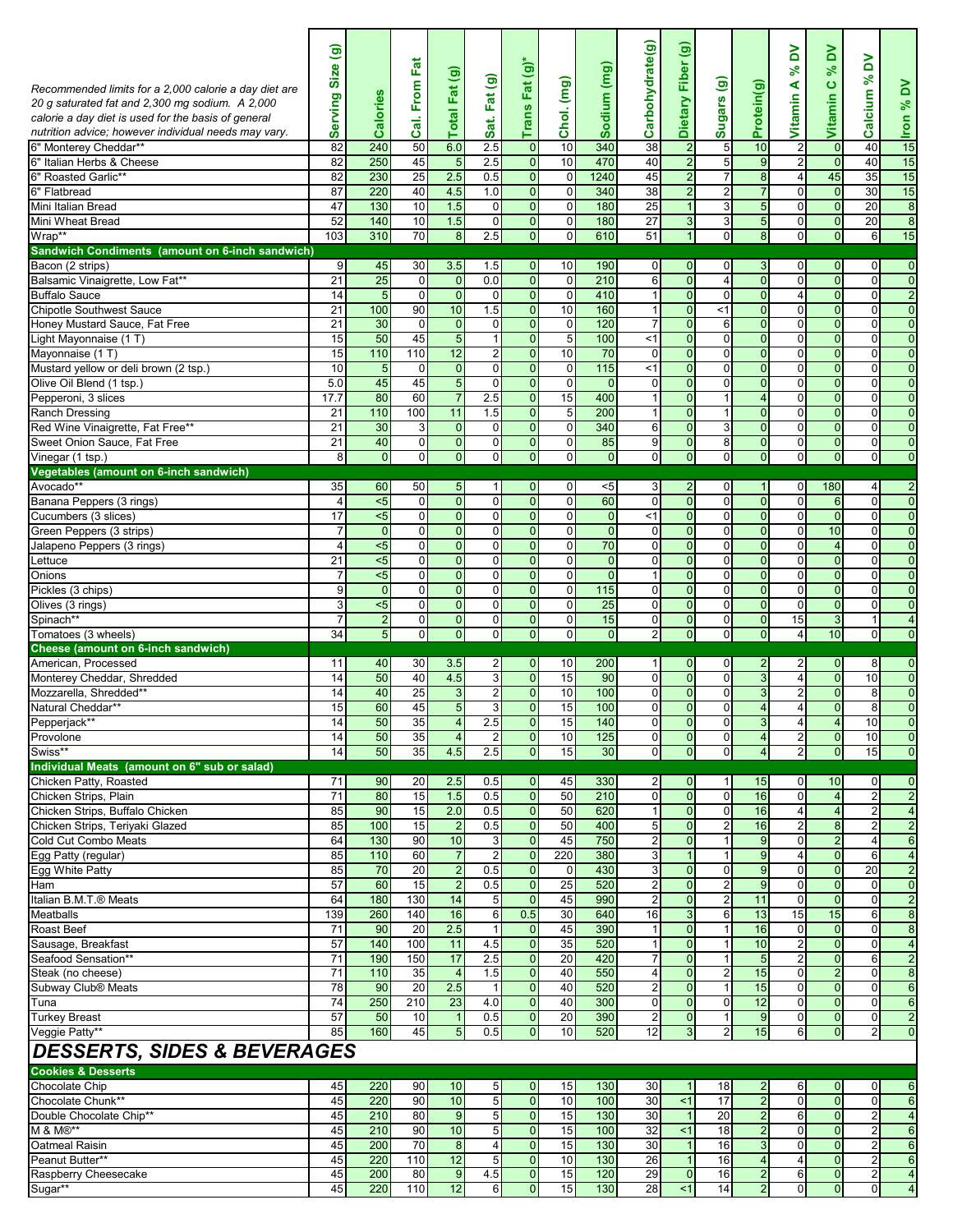| Recommended limits for a 2,000 calorie a day diet are<br>20 g saturated fat and 2,300 mg sodium. A 2,000<br>calorie a day diet is used for the basis of general<br>nutrition advice; however individual needs may vary.<br>6" Monterey Cheddar**<br>6" Italian Herbs & Cheese<br>6" Roasted Garlic**<br>6" Flatbread<br>Mini Italian Bread | $\widehat{\mathbf{e}}$<br>Size<br>Serving<br>82<br>82<br>82<br>87<br>47 | Calories<br>240<br>250<br>230<br>220<br>130 | Cal. From Fat<br>50<br>45<br>25<br>40<br>10 | $\widehat{\mathbf{e}}$<br><b>Total Fat</b><br>6.0<br>5<br>2.5<br>4.5<br>1.5 | Fat (g)<br>Sat.<br>2.5<br>2.5<br>0.5<br>1.0<br>$\overline{0}$ | Fat (g)*<br><b>Trans</b><br>$\overline{0}$<br>$\overline{0}$<br>$\overline{0}$<br>$\overline{0}$<br>$\overline{0}$ | Chol. (mg)<br>10<br>10<br>0<br>$\mathbf 0$<br>$\mathbf 0$ | Sodium (mg)<br>340<br>470<br>1240<br>340<br>180 | Carbohydrate(g)<br>38<br>40<br>45<br>38<br>25 | Fiber (g)<br><b>Dietary</b><br>$\overline{2}$<br>$\overline{2}$<br>$\overline{2}$<br>$\overline{2}$<br>$\mathbf{1}$ | Sugars (g)<br>5<br>5<br>7<br>$\overline{a}$<br>$\mathbf{3}$ | Protein(g)<br>10<br>$\overline{9}$<br>$\bf 8$<br>$\overline{7}$<br>$\overline{5}$ | ≧<br>వి<br>⋖<br>Vitamin<br>$\overline{c}$<br>$\overline{2}$<br>4<br>$\mathbf 0$<br>$\mathbf 0$ | δ<br>వ్<br>$\bullet$<br>Vitamin<br>$\mathbf 0$<br>$\mathbf{0}$<br>45<br>$\overline{0}$<br>$\overline{0}$ | λ<br>$\aleph$<br>Calcium<br>40<br>40<br>35<br>30<br>20 | Iron % DV<br>15<br>15<br>15<br>15<br>$\bf 8$ |
|--------------------------------------------------------------------------------------------------------------------------------------------------------------------------------------------------------------------------------------------------------------------------------------------------------------------------------------------|-------------------------------------------------------------------------|---------------------------------------------|---------------------------------------------|-----------------------------------------------------------------------------|---------------------------------------------------------------|--------------------------------------------------------------------------------------------------------------------|-----------------------------------------------------------|-------------------------------------------------|-----------------------------------------------|---------------------------------------------------------------------------------------------------------------------|-------------------------------------------------------------|-----------------------------------------------------------------------------------|------------------------------------------------------------------------------------------------|----------------------------------------------------------------------------------------------------------|--------------------------------------------------------|----------------------------------------------|
| Mini Wheat Bread<br>Wrap**                                                                                                                                                                                                                                                                                                                 | 52<br>103                                                               | 140<br>310                                  | 10<br>70                                    | 1.5<br>8                                                                    | $\overline{0}$<br>2.5                                         | $\overline{0}$<br>$\overline{0}$                                                                                   | $\mathbf 0$<br>$\pmb{0}$                                  | 180<br>610                                      | 27<br>51                                      | $\mathbf{3}$<br>$\mathbf{1}$                                                                                        | 3<br>$\mathbf 0$                                            | $\overline{5}$<br>$\overline{8}$                                                  | $\mathbf 0$<br>$\mathbf 0$                                                                     | $\overline{0}$<br>$\overline{0}$                                                                         | 20<br>$6 \mid$                                         | $\infty$<br>15                               |
| Sandwich Condiments (amount on 6-inch sandwich)                                                                                                                                                                                                                                                                                            |                                                                         |                                             |                                             |                                                                             |                                                               |                                                                                                                    |                                                           |                                                 |                                               |                                                                                                                     |                                                             |                                                                                   |                                                                                                |                                                                                                          |                                                        |                                              |
| Bacon (2 strips)                                                                                                                                                                                                                                                                                                                           | 9                                                                       | 45                                          | 30                                          | 3.5                                                                         | 1.5                                                           | $\mathbf{0}$                                                                                                       | 10                                                        | 190                                             | $\overline{0}$                                | $\mathbf{0}$                                                                                                        | $\mathbf 0$                                                 | 3                                                                                 | 0                                                                                              | $\mathbf 0$                                                                                              | $\overline{0}$                                         | 0                                            |
| Balsamic Vinaigrette, Low Fat**                                                                                                                                                                                                                                                                                                            | 21                                                                      | $\overline{25}$                             | $\overline{0}$                              | $\mathbf 0$                                                                 | 0.0                                                           | $\overline{0}$                                                                                                     | $\mathbf 0$                                               | 210                                             | 6                                             | $\overline{0}$                                                                                                      | $\overline{\mathbf{A}}$                                     | $\overline{0}$                                                                    | $\overline{0}$                                                                                 | $\overline{0}$                                                                                           | $\overline{0}$                                         | $\mathbf 0$                                  |
| <b>Buffalo Sauce</b>                                                                                                                                                                                                                                                                                                                       | 14                                                                      | 5                                           | $\overline{0}$<br>90                        | $\overline{0}$                                                              | $\overline{0}$                                                | $\overline{0}$                                                                                                     | $\mathbf 0$                                               | 410                                             | $\mathbf{1}$                                  | $\overline{0}$                                                                                                      | $\mathbf 0$                                                 | $\overline{0}$                                                                    | $\overline{4}$                                                                                 | $\overline{0}$                                                                                           | $\overline{0}$                                         | $\overline{2}$                               |
| <b>Chipotle Southwest Sauce</b><br>Honey Mustard Sauce, Fat Free                                                                                                                                                                                                                                                                           | 21<br>$\overline{21}$                                                   | 100<br>30                                   | $\overline{0}$                              | 10<br>$\overline{0}$                                                        | 1.5<br>$\mathbf{0}$                                           | $\overline{0}$<br>$\overline{0}$                                                                                   | 10<br>$\mathbf 0$                                         | 160<br>120                                      | 1<br>$\overline{7}$                           | $\overline{0}$<br>$\overline{0}$                                                                                    | <1<br>6                                                     | $\overline{0}$<br>$\overline{0}$                                                  | $\mathbf 0$<br>$\overline{0}$                                                                  | $\overline{0}$<br>$\overline{0}$                                                                         | $\overline{0}$<br>$\overline{0}$                       | $\overline{0}$<br>$\overline{0}$             |
| Light Mayonnaise (1 T)                                                                                                                                                                                                                                                                                                                     | 15                                                                      | 50                                          | 45                                          | $\overline{5}$                                                              | $\mathbf{1}$                                                  | $\overline{0}$                                                                                                     | 5                                                         | 100                                             | <1                                            | $\overline{0}$                                                                                                      | $\mathbf 0$                                                 | $\overline{0}$                                                                    | 0                                                                                              | $\mathbf{0}$                                                                                             | $\overline{0}$                                         | $\overline{0}$                               |
| Mayonnaise (1 T)                                                                                                                                                                                                                                                                                                                           | 15                                                                      | 110                                         | 110                                         | 12                                                                          | $\overline{\mathbf{c}}$                                       | $\overline{0}$                                                                                                     | 10                                                        | 70                                              | $\mathbf 0$                                   | $\overline{0}$                                                                                                      | $\overline{\mathbf{0}}$                                     | $\overline{0}$                                                                    | $\mathbf 0$                                                                                    | $\mathbf{0}$                                                                                             | $\overline{0}$                                         | $\mathbf 0$                                  |
| Mustard yellow or deli brown (2 tsp.)                                                                                                                                                                                                                                                                                                      | 10                                                                      | 5                                           | 0                                           | $\overline{0}$                                                              | $\overline{0}$                                                | $\overline{0}$                                                                                                     | $\pmb{0}$                                                 | 115                                             | < 1                                           | $\overline{0}$                                                                                                      | $\overline{0}$                                              | $\overline{0}$                                                                    | $\overline{\mathbf{0}}$                                                                        | $\overline{0}$                                                                                           | $\overline{0}$                                         | $\mathbf 0$                                  |
| Olive Oil Blend (1 tsp.)                                                                                                                                                                                                                                                                                                                   | 5.0                                                                     | 45                                          | 45                                          | $\mathbf{5}$                                                                | $\overline{0}$                                                | $\overline{0}$                                                                                                     | $\mathbf 0$                                               | $\overline{0}$                                  | $\mathbf 0$                                   | $\overline{0}$                                                                                                      | $\overline{0}$                                              | $\overline{0}$                                                                    | $\mathbf 0$                                                                                    | $\overline{0}$                                                                                           | $\overline{0}$                                         | $\mathbf 0$                                  |
| Pepperoni, 3 slices                                                                                                                                                                                                                                                                                                                        | 17.7                                                                    | 80                                          | 60                                          | $\overline{7}$                                                              | 2.5                                                           | $\Omega$                                                                                                           | 15                                                        | 400                                             | $\mathbf{1}$                                  | $\overline{0}$                                                                                                      | $\mathbf{1}$                                                | $\overline{4}$                                                                    | $\mathbf 0$                                                                                    | $\Omega$                                                                                                 | $\overline{0}$                                         | $\mathbf 0$                                  |
| <b>Ranch Dressing</b><br>Red Wine Vinaigrette, Fat Free**                                                                                                                                                                                                                                                                                  | 21<br>21                                                                | 110<br>30                                   | 100<br>3                                    | 11<br>$\mathbf{0}$                                                          | 1.5<br>$\overline{0}$                                         | $\overline{0}$<br>$\overline{0}$                                                                                   | 5<br>0                                                    | 200<br>340                                      | 1<br>$6\overline{6}$                          | $\overline{0}$<br>$\overline{0}$                                                                                    | 1<br>ω                                                      | $\overline{0}$<br>$\overline{0}$                                                  | $\mathbf 0$<br>$\mathbf 0$                                                                     | $\overline{0}$<br>$\Omega$                                                                               | $\Omega$<br>$\Omega$                                   | $\overline{0}$<br>$\overline{0}$             |
| Sweet Onion Sauce, Fat Free                                                                                                                                                                                                                                                                                                                | $\overline{21}$                                                         | 40                                          | $\overline{0}$                              | $\bf 0$                                                                     | $\overline{0}$                                                | $\overline{0}$                                                                                                     | 0                                                         | 85                                              | 9                                             | $\overline{0}$                                                                                                      | 8                                                           | $\overline{0}$                                                                    | $\mathbf 0$                                                                                    | $\overline{0}$                                                                                           | $\overline{0}$                                         | $\Omega$                                     |
| Vinegar (1 tsp.)                                                                                                                                                                                                                                                                                                                           | ø                                                                       | $\overline{0}$                              | $\overline{0}$                              | $\overline{0}$                                                              | $\overline{0}$                                                | $\overline{0}$                                                                                                     | $\overline{0}$                                            | $\mathbf{0}$                                    | $\overline{0}$                                | $\overline{0}$                                                                                                      | $\overline{0}$                                              | $\overline{0}$                                                                    | $\overline{0}$                                                                                 | $\overline{0}$                                                                                           | $\overline{0}$                                         | $\overline{0}$                               |
| Vegetables (amount on 6-inch sandwich)                                                                                                                                                                                                                                                                                                     |                                                                         |                                             |                                             |                                                                             |                                                               |                                                                                                                    |                                                           |                                                 |                                               |                                                                                                                     |                                                             |                                                                                   |                                                                                                |                                                                                                          |                                                        |                                              |
| Avocado*'                                                                                                                                                                                                                                                                                                                                  | 35                                                                      | 60                                          | 50                                          | $5\phantom{.0}$                                                             | 1                                                             | $\overline{0}$                                                                                                     | 0                                                         | $<$ 5                                           | 3                                             | $\overline{2}$                                                                                                      | $\mathbf{0}$                                                | $\mathbf{1}$                                                                      | 0                                                                                              | 180                                                                                                      | $\overline{4}$                                         | 2                                            |
| Banana Peppers (3 rings)                                                                                                                                                                                                                                                                                                                   | $\overline{4}$                                                          | $\overline{5}$                              | $\mathbf 0$                                 | $\overline{0}$                                                              | $\mathbf{0}$                                                  | $\overline{0}$                                                                                                     | $\mathbf 0$                                               | 60                                              | $\overline{0}$                                | $\mathbf 0$                                                                                                         | $\mathbf 0$                                                 | $\overline{0}$                                                                    | $\mathbf 0$                                                                                    | 6                                                                                                        | $\overline{0}$                                         | $\mathbf 0$                                  |
| Cucumbers (3 slices)<br>Green Peppers (3 strips)                                                                                                                                                                                                                                                                                           | 17<br>$\overline{7}$                                                    | $5$<br>$\overline{0}$                       | $\overline{0}$<br>$\overline{0}$            | $\overline{0}$<br>$\overline{0}$                                            | $\overline{0}$<br>$\overline{0}$                              | $\overline{0}$<br>$\overline{0}$                                                                                   | 0<br>$\mathbf 0$                                          | $\overline{0}$<br>$\overline{0}$                | <1<br>$\mathbf{0}$                            | $\overline{0}$<br>$\overline{0}$                                                                                    | $\overline{0}$<br>$\mathbf 0$                               | $\overline{0}$<br>$\overline{0}$                                                  | $\mathbf 0$<br>$\mathbf 0$                                                                     | $\mathbf{0}$<br>10                                                                                       | $\overline{0}$<br>$\overline{0}$                       | $\overline{0}$<br>$\overline{0}$             |
| Jalapeno Peppers (3 rings)                                                                                                                                                                                                                                                                                                                 | 4                                                                       | $\overline{5}$                              | $\overline{0}$                              | $\overline{0}$                                                              | $\overline{0}$                                                | $\overline{0}$                                                                                                     | $\pmb{0}$                                                 | 70                                              | 0                                             | $\overline{0}$                                                                                                      | $\overline{0}$                                              | $\overline{0}$                                                                    | $\mathbf 0$                                                                                    | $\overline{4}$                                                                                           | $\overline{0}$                                         | $\mathbf 0$                                  |
| Lettuce                                                                                                                                                                                                                                                                                                                                    | 21                                                                      | $\overline{5}$                              | $\mathbf{0}$                                | $\mathbf 0$                                                                 | $\overline{0}$                                                | $\overline{0}$                                                                                                     | $\pmb{0}$                                                 | $\mathbf{0}$                                    | $\mathbf{0}$                                  | $\mathbf 0$                                                                                                         | $\mathbf 0$                                                 | $\overline{0}$                                                                    | $\pmb{0}$                                                                                      | $\overline{0}$                                                                                           | $\overline{0}$                                         | $\mathbf 0$                                  |
| Onions                                                                                                                                                                                                                                                                                                                                     | $\overline{7}$                                                          | $5$                                         | $\overline{0}$                              | $\overline{0}$                                                              | $\overline{0}$                                                | $\overline{0}$                                                                                                     | $\mathbf 0$                                               | $\overline{0}$                                  | $\mathbf{1}$                                  | $\overline{0}$                                                                                                      | $\overline{0}$                                              | $\overline{0}$                                                                    | $\mathbf 0$                                                                                    | $\overline{0}$                                                                                           | $\overline{0}$                                         | $\mathbf 0$                                  |
| Pickles (3 chips)                                                                                                                                                                                                                                                                                                                          | 9                                                                       | $\mathbf 0$                                 | $\overline{0}$                              | $\overline{0}$                                                              | $\overline{0}$                                                | $\overline{0}$                                                                                                     | $\pmb{0}$                                                 | 115                                             | $\overline{0}$                                | $\overline{0}$                                                                                                      | $\overline{0}$                                              | $\overline{0}$                                                                    | $\mathbf 0$                                                                                    | $\overline{0}$                                                                                           | $\overline{0}$                                         | $\overline{0}$                               |
| Olives (3 rings)                                                                                                                                                                                                                                                                                                                           | 3 <sup>1</sup>                                                          | $\overline{5}$                              | $\overline{0}$                              | $\overline{0}$                                                              | $\mathbf{0}$                                                  | $\overline{0}$                                                                                                     | $\mathbf 0$                                               | $\overline{25}$                                 | $\overline{0}$                                | $\overline{0}$                                                                                                      | $\overline{0}$                                              | $\overline{0}$                                                                    | $\mathbf 0$                                                                                    | $\Omega$                                                                                                 | $\Omega$                                               | $\mathbf 0$                                  |
| Spinach <sup>**</sup><br>Tomatoes (3 wheels)                                                                                                                                                                                                                                                                                               | $\overline{7}$<br>34                                                    | $\overline{\mathbf{c}}$<br>$\overline{5}$   | $\overline{0}$<br>$\overline{0}$            | $\overline{0}$<br>$\overline{0}$                                            | $\overline{0}$<br>$\overline{0}$                              | $\overline{0}$<br>$\overline{0}$                                                                                   | 0<br>$\mathbf 0$                                          | 15<br>$\mathbf{0}$                              | 0<br>$\overline{2}$                           | $\overline{0}$<br>$\overline{0}$                                                                                    | $\overline{0}$<br>$\overline{0}$                            | $\overline{0}$<br>$\overline{0}$                                                  | 15<br>$\overline{4}$                                                                           | 3<br>10                                                                                                  | $\overline{0}$                                         | $\overline{\mathbf{4}}$<br>$\mathbf 0$       |
| Cheese (amount on 6-inch sandwich)                                                                                                                                                                                                                                                                                                         |                                                                         |                                             |                                             |                                                                             |                                                               |                                                                                                                    |                                                           |                                                 |                                               |                                                                                                                     |                                                             |                                                                                   |                                                                                                |                                                                                                          |                                                        |                                              |
| American, Processed                                                                                                                                                                                                                                                                                                                        | 11                                                                      | 40                                          | 30                                          | 3.5                                                                         | 2                                                             | $\overline{0}$                                                                                                     | 10                                                        | 200                                             | 1                                             | $\overline{0}$                                                                                                      | $\mathbf{0}$                                                | $\overline{a}$                                                                    | $\overline{2}$                                                                                 | $\overline{0}$                                                                                           | 8                                                      | $\overline{0}$                               |
| Monterey Cheddar, Shredded                                                                                                                                                                                                                                                                                                                 | 14                                                                      | 50                                          | 40                                          | 4.5                                                                         | 3 <sup>1</sup>                                                | $\overline{0}$                                                                                                     | 15                                                        | 90                                              | $\overline{0}$                                | $\overline{0}$                                                                                                      | $\overline{0}$                                              | $\overline{3}$                                                                    | $\overline{\mathbf{4}}$                                                                        | $\overline{0}$                                                                                           | 10                                                     | $\overline{0}$                               |
| Mozzarella, Shredded**                                                                                                                                                                                                                                                                                                                     | 14                                                                      | 40                                          | 25                                          | $\mathbf{3}$                                                                | 2                                                             | $\overline{0}$                                                                                                     | 10                                                        | 100                                             | $\overline{0}$                                | $\overline{0}$                                                                                                      | $\overline{0}$                                              | $\overline{3}$                                                                    | $\overline{c}$                                                                                 | $\overline{0}$                                                                                           | 8                                                      | $\overline{0}$                               |
| Natural Cheddar**                                                                                                                                                                                                                                                                                                                          | 15                                                                      | 60                                          | 45                                          | $\overline{5}$                                                              | 3 <sup>1</sup>                                                | $\overline{0}$                                                                                                     | 15                                                        | 100                                             | 0                                             | $\overline{0}$                                                                                                      | $\overline{0}$                                              | $\overline{\mathbf{4}}$                                                           | $\overline{4}$                                                                                 | $\mathbf{0}$                                                                                             | 8                                                      | $\overline{0}$                               |
| Pepperjack**<br>Provolone                                                                                                                                                                                                                                                                                                                  | 14<br>14                                                                | 50<br>50                                    | 35<br>35                                    | $\overline{4}$<br>$\overline{4}$                                            | 2.5<br>2 <sub>l</sub>                                         | $\Omega$<br>$\overline{0}$                                                                                         | 15<br>10                                                  | 140<br>125                                      | $\overline{0}$<br>$\overline{0}$              | $\overline{0}$<br>$\mathbf{0}$                                                                                      | $\overline{0}$<br>$\mathbf 0$                               | $\mathbf{3}$<br>4                                                                 | $\overline{4}$<br>$\overline{\mathbf{c}}$                                                      | $\overline{4}$<br>$\overline{0}$                                                                         | 10 <sup>1</sup><br>10                                  | $\overline{0}$<br>$\overline{0}$             |
| Swiss**                                                                                                                                                                                                                                                                                                                                    | 14                                                                      | 50                                          | 35                                          | 4.5                                                                         | 2.5                                                           | $\overline{0}$                                                                                                     | 15                                                        | 30                                              | $\overline{0}$                                | $\overline{0}$                                                                                                      | $\overline{0}$                                              | $\overline{4}$                                                                    | $\overline{2}$                                                                                 | $\overline{0}$                                                                                           | 15                                                     | $\overline{0}$                               |
| Individual Meats (amount on 6" sub or salad)                                                                                                                                                                                                                                                                                               |                                                                         |                                             |                                             |                                                                             |                                                               |                                                                                                                    |                                                           |                                                 |                                               |                                                                                                                     |                                                             |                                                                                   |                                                                                                |                                                                                                          |                                                        |                                              |
| Chicken Patty, Roasted                                                                                                                                                                                                                                                                                                                     | 71                                                                      | 90                                          | 20                                          | 2.5                                                                         | 0.5                                                           | $\overline{0}$                                                                                                     | 45                                                        | 330                                             | 2                                             | $\mathbf{0}$                                                                                                        | 1                                                           | 15                                                                                | 0                                                                                              | 10                                                                                                       | $\mathbf{0}$                                           | $\mathbf{0}$                                 |
| Chicken Strips, Plain                                                                                                                                                                                                                                                                                                                      | 71                                                                      | 80                                          | 15                                          | 1.5                                                                         | 0.5                                                           | $\overline{0}$                                                                                                     | 50                                                        | 210                                             | $\overline{0}$                                | $\overline{0}$                                                                                                      | $\mathbf 0$                                                 | 16                                                                                | 0                                                                                              | $\overline{4}$                                                                                           | 2 <sub>l</sub>                                         | $\overline{2}$                               |
| Chicken Strips, Buffalo Chicken                                                                                                                                                                                                                                                                                                            | 85                                                                      | 90                                          | 15                                          | 2.0                                                                         | 0.5                                                           | $\overline{0}$                                                                                                     | 50                                                        | 620                                             | $\mathbf{1}$                                  | $\overline{0}$                                                                                                      | $\pmb{0}$                                                   | 16                                                                                | $\overline{4}$                                                                                 | $\overline{4}$                                                                                           | 2 <sub>l</sub>                                         |                                              |
| Chicken Strips, Teriyaki Glazed<br>Cold Cut Combo Meats                                                                                                                                                                                                                                                                                    | 85<br>64                                                                | 100<br>130                                  | 15<br>90                                    | $\overline{2}$<br>10                                                        | 0.5<br>3                                                      | $\overline{0}$<br>$\overline{0}$                                                                                   | 50<br>45                                                  | 400<br>750                                      | 5<br>2                                        | $\pmb{0}$<br>$\pmb{0}$                                                                                              | $\overline{2}$<br>$\mathbf{1}$                              | 16<br>9                                                                           | $\overline{2}$<br>$\mathbf 0$                                                                  | 8<br>$\overline{2}$                                                                                      | $\overline{2}$<br>$\overline{4}$                       | $\overline{2}$<br>6                          |
| Egg Patty (regular)                                                                                                                                                                                                                                                                                                                        | 85                                                                      | $\frac{110}{110}$                           | 60                                          | $\overline{7}$                                                              | $\overline{\mathbf{c}}$                                       | $\overline{0}$                                                                                                     | 220                                                       | 380                                             | 3                                             | $\mathbf{1}$                                                                                                        | $\mathbf{1}$                                                | $\overline{9}$                                                                    | $\overline{4}$                                                                                 | $\overline{0}$                                                                                           | 6                                                      | $\overline{4}$                               |
| Egg White Patty                                                                                                                                                                                                                                                                                                                            | 85                                                                      | 70                                          | 20                                          | $\overline{2}$                                                              | 0.5                                                           | $\overline{0}$                                                                                                     | 0                                                         | 430                                             | 3                                             | $\overline{0}$                                                                                                      | $\mathbf 0$                                                 | $\boldsymbol{9}$                                                                  | $\mathbf 0$                                                                                    | $\overline{0}$                                                                                           | 20                                                     | $\overline{2}$                               |
| Ham                                                                                                                                                                                                                                                                                                                                        | 57                                                                      | 60                                          | 15                                          | $\overline{2}$                                                              | 0.5                                                           | $\overline{0}$                                                                                                     | 25                                                        | 520                                             | $\overline{\mathbf{c}}$                       | $\overline{0}$                                                                                                      | $\overline{2}$                                              | $\overline{9}$                                                                    | $\mathbf 0$                                                                                    | $\mathbf{0}$                                                                                             | $\overline{0}$                                         | $\mathbf 0$                                  |
| Italian B.M.T.® Meats                                                                                                                                                                                                                                                                                                                      | 64                                                                      | 180                                         | 130                                         | 14                                                                          | 5                                                             | $\overline{0}$                                                                                                     | 45                                                        | 990                                             | $\overline{\mathbf{c}}$                       | $\overline{0}$                                                                                                      | $\overline{\mathbf{c}}$                                     | 11                                                                                | $\mathbf 0$                                                                                    | $\overline{0}$                                                                                           | $\overline{0}$                                         | $\overline{2}$                               |
| <b>Meatballs</b><br>Roast Beef                                                                                                                                                                                                                                                                                                             | 139<br>71                                                               | 260<br>90                                   | 140<br>20                                   | 16<br>2.5                                                                   | 6<br>$\mathbf{1}$                                             | 0.5<br>$\overline{0}$                                                                                              | 30<br>45                                                  | 640<br>390                                      | 16<br>$\mathbf{1}$                            | $\mathbf{3}$<br>$\mathbf 0$                                                                                         | 6<br>$\mathbf{1}$                                           | 13<br>16                                                                          | 15<br>$\mathbf 0$                                                                              | 15<br>$\overline{0}$                                                                                     | $6 \mid$<br>$\overline{0}$                             | $\boldsymbol{8}$<br>$\bf{8}$                 |
| Sausage, Breakfast                                                                                                                                                                                                                                                                                                                         | 57                                                                      | 140                                         | 100                                         | 11                                                                          | 4.5                                                           | $\overline{0}$                                                                                                     | 35                                                        | 520                                             | 1                                             | $\overline{0}$                                                                                                      | 1                                                           | 10                                                                                | $\overline{\mathbf{c}}$                                                                        | $\overline{0}$                                                                                           | $\overline{0}$                                         | $\overline{4}$                               |
| Seafood Sensation**                                                                                                                                                                                                                                                                                                                        | 71                                                                      | 190                                         | 150                                         | 17                                                                          | 2.5                                                           | $\overline{0}$                                                                                                     | 20                                                        | 420                                             | $\overline{7}$                                | $\overline{0}$                                                                                                      | $\mathbf{1}$                                                | $\overline{5}$                                                                    | $\overline{2}$                                                                                 | $\Omega$                                                                                                 | $6 \mid$                                               | $\overline{2}$                               |
| Steak (no cheese)                                                                                                                                                                                                                                                                                                                          | 71                                                                      | 110                                         | 35                                          | $\overline{4}$                                                              | 1.5                                                           | $\overline{0}$                                                                                                     | 40                                                        | 550                                             | 4                                             | $\mathbf 0$                                                                                                         | $\overline{\mathbf{c}}$                                     | 15                                                                                | $\mathbf 0$                                                                                    | $2 \overline{)}$                                                                                         | $\overline{0}$                                         | $\bf{8}$                                     |
| Subway Club <sup>®</sup> Meats                                                                                                                                                                                                                                                                                                             | 78                                                                      | 90                                          | 20                                          | 2.5                                                                         |                                                               | $\overline{0}$                                                                                                     | 40                                                        | 520                                             | $\overline{2}$                                | $\overline{0}$                                                                                                      | $\mathbf{1}$                                                | 15                                                                                | $\overline{0}$                                                                                 | $\mathbf{0}$                                                                                             | $\overline{0}$                                         | $6\overline{6}$                              |
| Tuna                                                                                                                                                                                                                                                                                                                                       | 74                                                                      | 250                                         | 210                                         | 23                                                                          | 4.0                                                           | $\overline{0}$                                                                                                     | 40                                                        | 300                                             | $\overline{0}$                                | $\overline{0}$                                                                                                      | $\mathbf 0$                                                 | 12                                                                                | $\mathbf 0$                                                                                    | $\overline{0}$                                                                                           | $\overline{0}$                                         | $6\overline{6}$                              |
| <b>Turkey Breast</b><br>Veggie Patty**                                                                                                                                                                                                                                                                                                     | 57<br>85                                                                | 50<br>160                                   | 10<br>45                                    | $\mathbf{1}$<br>$\overline{5}$                                              | 0.5<br>0.5                                                    | $\overline{0}$<br>$\overline{0}$                                                                                   | 20<br>10                                                  | 390<br>520                                      | $\overline{\mathbf{c}}$<br>12                 | $\pmb{0}$<br>$\overline{3}$                                                                                         | 1<br>$\overline{a}$                                         | 9<br>15                                                                           | $\mathbf 0$<br>6                                                                               | $\overline{0}$<br>$\overline{0}$                                                                         | $\overline{0}$<br>2 <sub>l</sub>                       | $\overline{2}$<br>$\Omega$                   |
| <b>DESSERTS, SIDES &amp; BEVERAGES</b>                                                                                                                                                                                                                                                                                                     |                                                                         |                                             |                                             |                                                                             |                                                               |                                                                                                                    |                                                           |                                                 |                                               |                                                                                                                     |                                                             |                                                                                   |                                                                                                |                                                                                                          |                                                        |                                              |
| <b>Cookies &amp; Desserts</b>                                                                                                                                                                                                                                                                                                              |                                                                         |                                             |                                             |                                                                             |                                                               |                                                                                                                    |                                                           |                                                 |                                               |                                                                                                                     |                                                             |                                                                                   |                                                                                                |                                                                                                          |                                                        |                                              |
| <b>Chocolate Chip</b><br>Chocolate Chunk**                                                                                                                                                                                                                                                                                                 | 45<br>45                                                                | 220<br>220                                  | 90<br>90                                    | 10<br>10                                                                    | 5 <sub>l</sub><br>5 <sub>5</sub>                              | $\overline{0}$<br>$\overline{0}$                                                                                   | 15<br>10                                                  | 130<br>100                                      | 30<br>30                                      | $\mathbf{1}$<br><1                                                                                                  | 18<br>17                                                    | $\overline{2}$<br>$\overline{2}$                                                  | 6<br>$\overline{\mathbf{0}}$                                                                   | $\overline{0}$<br>$\overline{0}$                                                                         | $\overline{0}$<br>$\overline{0}$                       | 6<br>$6\phantom{1}$                          |
| Double Chocolate Chip**                                                                                                                                                                                                                                                                                                                    | 45                                                                      | 210                                         | 80                                          | $\overline{9}$                                                              | 5 <sub>5</sub>                                                | $\overline{0}$                                                                                                     | 15                                                        | 130                                             | 30                                            | $\mathbf{1}$                                                                                                        | 20                                                          | $\overline{2}$                                                                    | 6                                                                                              | $\overline{0}$                                                                                           | 2 <sub>l</sub>                                         |                                              |
| M & M®**                                                                                                                                                                                                                                                                                                                                   | 45                                                                      | 210                                         | 90                                          | 10                                                                          | 5 <sub>5</sub>                                                | $\overline{0}$                                                                                                     | 15                                                        | 100                                             | 32                                            | <1                                                                                                                  | 18                                                          | $\overline{\mathbf{c}}$                                                           | $\mathbf 0$                                                                                    | $\overline{0}$                                                                                           | 2 <sub>l</sub>                                         | 6                                            |
| Oatmeal Raisin                                                                                                                                                                                                                                                                                                                             | 45                                                                      | 200                                         | 70                                          | $\infty$                                                                    | $\overline{4}$                                                | $\overline{0}$                                                                                                     | 15                                                        | 130                                             | 30                                            | $\vert$ 1                                                                                                           | 16                                                          | $\mathbf{3}$                                                                      | $\mathbf 0$                                                                                    | $\Omega$                                                                                                 | 2 <sub>l</sub>                                         | $6\phantom{.}$                               |
| Peanut Butter**                                                                                                                                                                                                                                                                                                                            | 45                                                                      | 220                                         | 110                                         | 12                                                                          | 5 <sub>5</sub>                                                | $\overline{0}$                                                                                                     | 10                                                        | 130                                             | 26                                            | $\mathbf{1}$                                                                                                        | 16                                                          | $\overline{\mathbf{4}}$                                                           | 4                                                                                              | $\overline{0}$                                                                                           | $\mathbf{2}$                                           | $\sigma$                                     |
| Raspberry Cheesecake                                                                                                                                                                                                                                                                                                                       | 45                                                                      | 200                                         | 80                                          | 9                                                                           | 4.5                                                           | $\overline{0}$                                                                                                     | 15                                                        | 120                                             | 29                                            | $\overline{0}$                                                                                                      | 16                                                          | $\overline{2}$                                                                    | 6                                                                                              | $\mathbf{0}$                                                                                             | $\mathbf{2}$                                           | $\overline{4}$                               |
| Sugar**                                                                                                                                                                                                                                                                                                                                    | 45                                                                      | 220                                         | 110                                         | 12                                                                          | 6                                                             | $\overline{0}$                                                                                                     | 15                                                        | 130                                             | 28                                            | $\leq$                                                                                                              | 14                                                          | $\overline{2}$                                                                    | $\mathbf 0$                                                                                    | $\overline{0}$                                                                                           | $\mathsf{o}$                                           |                                              |